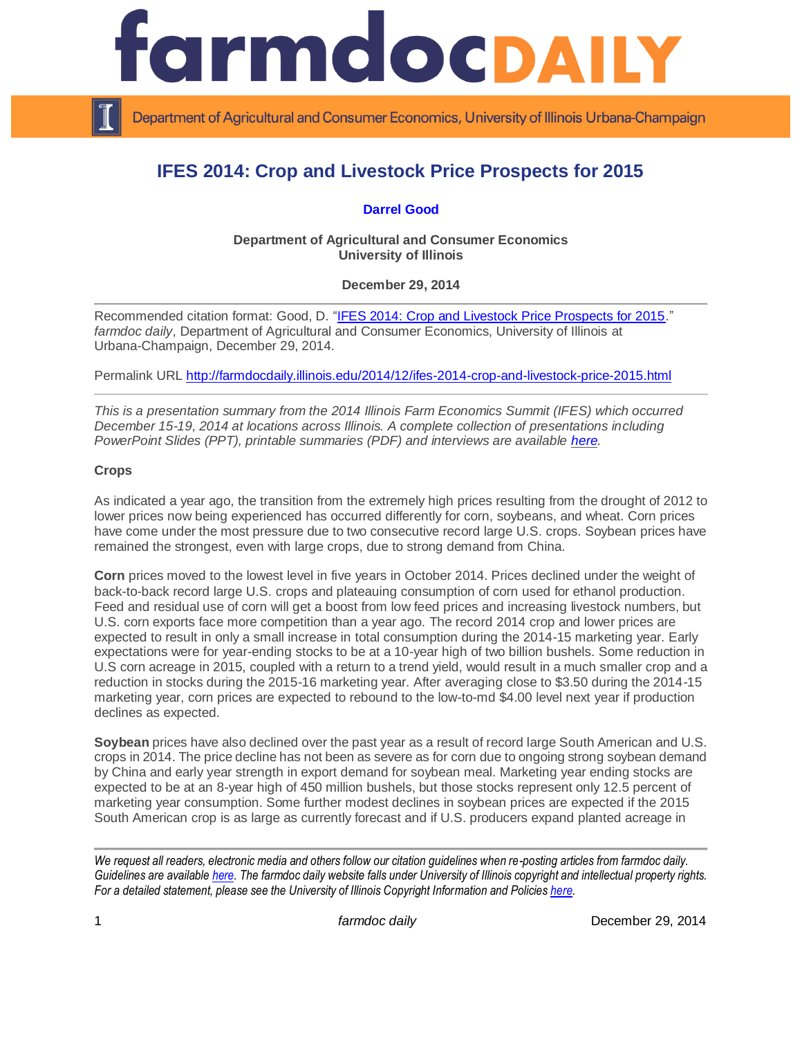

Department of Agricultural and Consumer Economics, University of Illinois Urbana-Champaign

# **IFES 2014: Crop and Livestock Price Prospects for 2015**

# **[Darrel Good](http://farmdoc.illinois.edu/good/)**

**Department of Agricultural and Consumer Economics University of Illinois**

**December 29, 2014**

Recommended citation format: Good, D. ["IFES 2014: Crop and Livestock Price Prospects for 2015.](http://farmdocdaily.illinois.edu/2014/12/ifes-2014-crop-and-livestock-price-2015.html)" *farmdoc daily*, Department of Agricultural and Consumer Economics, University of Illinois at Urbana-Champaign, December 29, 2014.

Permalink URL<http://farmdocdaily.illinois.edu/2014/12/ifes-2014-crop-and-livestock-price-2015.html>

*This is a presentation summary from the 2014 Illinois Farm Economics Summit (IFES) which occurred December 15-19, 2014 at locations across Illinois. A complete collection of presentations including PowerPoint Slides (PPT), printable summaries (PDF) and interviews are available [here.](http://farmdoc.illinois.edu/presentations/IFES_2014/)*

### **Crops**

As indicated a year ago, the transition from the extremely high prices resulting from the drought of 2012 to lower prices now being experienced has occurred differently for corn, soybeans, and wheat. Corn prices have come under the most pressure due to two consecutive record large U.S. crops. Soybean prices have remained the strongest, even with large crops, due to strong demand from China.

**Corn** prices moved to the lowest level in five years in October 2014. Prices declined under the weight of back-to-back record large U.S. crops and plateauing consumption of corn used for ethanol production. Feed and residual use of corn will get a boost from low feed prices and increasing livestock numbers, but U.S. corn exports face more competition than a year ago. The record 2014 crop and lower prices are expected to result in only a small increase in total consumption during the 2014-15 marketing year. Early expectations were for year-ending stocks to be at a 10-year high of two billion bushels. Some reduction in U.S corn acreage in 2015, coupled with a return to a trend yield, would result in a much smaller crop and a reduction in stocks during the 2015-16 marketing year. After averaging close to \$3.50 during the 2014-15 marketing year, corn prices are expected to rebound to the low-to-md \$4.00 level next year if production declines as expected.

**Soybean** prices have also declined over the past year as a result of record large South American and U.S. crops in 2014. The price decline has not been as severe as for corn due to ongoing strong soybean demand by China and early year strength in export demand for soybean meal. Marketing year ending stocks are expected to be at an 8-year high of 450 million bushels, but those stocks represent only 12.5 percent of marketing year consumption. Some further modest declines in soybean prices are expected if the 2015 South American crop is as large as currently forecast and if U.S. producers expand planted acreage in

*We request all readers, electronic media and others follow our citation guidelines when re-posting articles from farmdoc daily. Guidelines are available [here.](http://farmdocdaily.illinois.edu/citationguide.html) The farmdoc daily website falls under University of Illinois copyright and intellectual property rights. For a detailed statement, please see the University of Illinois Copyright Information and Policie[s here.](http://www.cio.illinois.edu/policies/copyright/)*